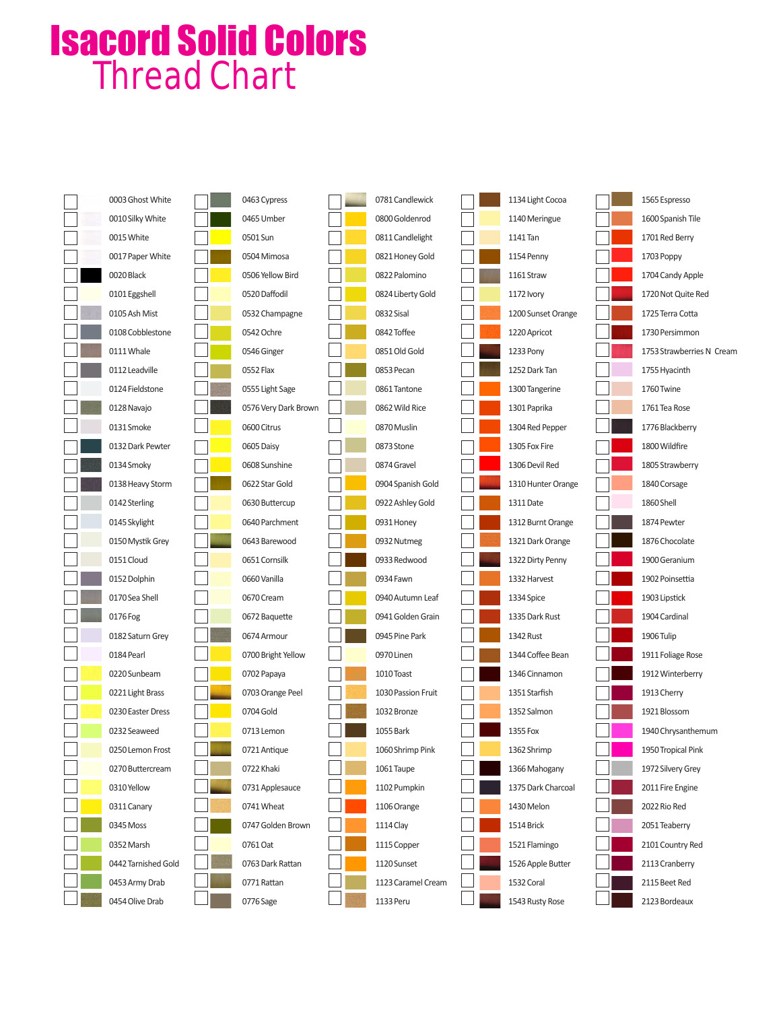## Isacord Solid Colors Thread Chart